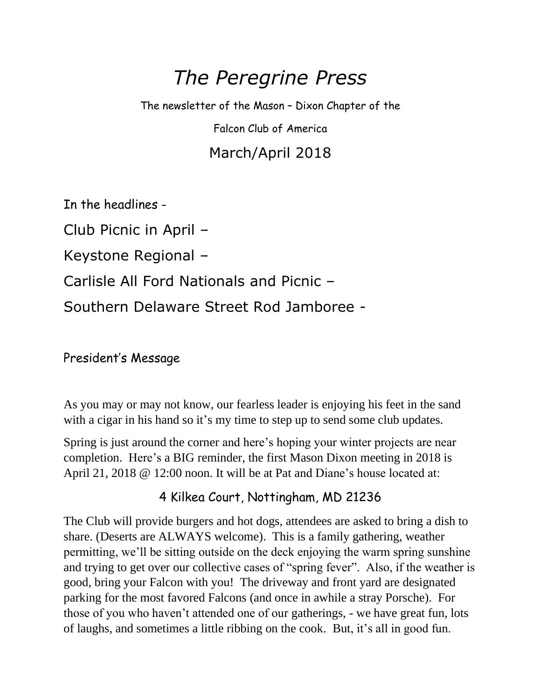# *The Peregrine Press*

The newsletter of the Mason – Dixon Chapter of the

Falcon Club of America

## March/April 2018

In the headlines -

Club Picnic in April –

Keystone Regional –

Carlisle All Ford Nationals and Picnic –

Southern Delaware Street Rod Jamboree -

#### President's Message

As you may or may not know, our fearless leader is enjoying his feet in the sand with a cigar in his hand so it's my time to step up to send some club updates.

Spring is just around the corner and here's hoping your winter projects are near completion. Here's a BIG reminder, the first Mason Dixon meeting in 2018 is April 21, 2018 @ 12:00 noon. It will be at Pat and Diane's house located at:

#### 4 Kilkea Court, Nottingham, MD 21236

The Club will provide burgers and hot dogs, attendees are asked to bring a dish to share. (Deserts are ALWAYS welcome). This is a family gathering, weather permitting, we'll be sitting outside on the deck enjoying the warm spring sunshine and trying to get over our collective cases of "spring fever". Also, if the weather is good, bring your Falcon with you! The driveway and front yard are designated parking for the most favored Falcons (and once in awhile a stray Porsche). For those of you who haven't attended one of our gatherings, - we have great fun, lots of laughs, and sometimes a little ribbing on the cook. But, it's all in good fun.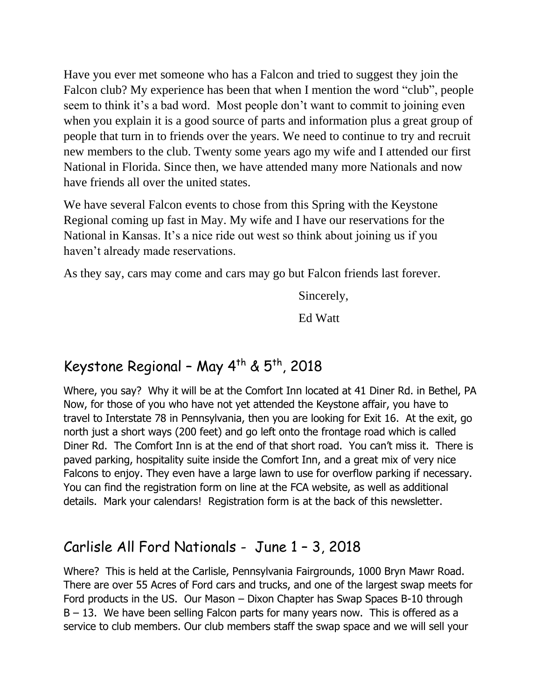Have you ever met someone who has a Falcon and tried to suggest they join the Falcon club? My experience has been that when I mention the word "club", people seem to think it's a bad word. Most people don't want to commit to joining even when you explain it is a good source of parts and information plus a great group of people that turn in to friends over the years. We need to continue to try and recruit new members to the club. Twenty some years ago my wife and I attended our first National in Florida. Since then, we have attended many more Nationals and now have friends all over the united states.

We have several Falcon events to chose from this Spring with the Keystone Regional coming up fast in May. My wife and I have our reservations for the National in Kansas. It's a nice ride out west so think about joining us if you haven't already made reservations.

As they say, cars may come and cars may go but Falcon friends last forever.

Sincerely,

Ed Watt

## Keystone Regional - May  $4^{th}$  &  $5^{th}$ , 2018

Where, you say? Why it will be at the Comfort Inn located at 41 Diner Rd. in Bethel, PA Now, for those of you who have not yet attended the Keystone affair, you have to travel to Interstate 78 in Pennsylvania, then you are looking for Exit 16. At the exit, go north just a short ways (200 feet) and go left onto the frontage road which is called Diner Rd. The Comfort Inn is at the end of that short road. You can't miss it. There is paved parking, hospitality suite inside the Comfort Inn, and a great mix of very nice Falcons to enjoy. They even have a large lawn to use for overflow parking if necessary. You can find the registration form on line at the FCA website, as well as additional details. Mark your calendars! Registration form is at the back of this newsletter.

## Carlisle All Ford Nationals - June 1 – 3, 2018

Where? This is held at the Carlisle, Pennsylvania Fairgrounds, 1000 Bryn Mawr Road. There are over 55 Acres of Ford cars and trucks, and one of the largest swap meets for Ford products in the US. Our Mason – Dixon Chapter has Swap Spaces B-10 through  $B - 13$ . We have been selling Falcon parts for many years now. This is offered as a service to club members. Our club members staff the swap space and we will sell your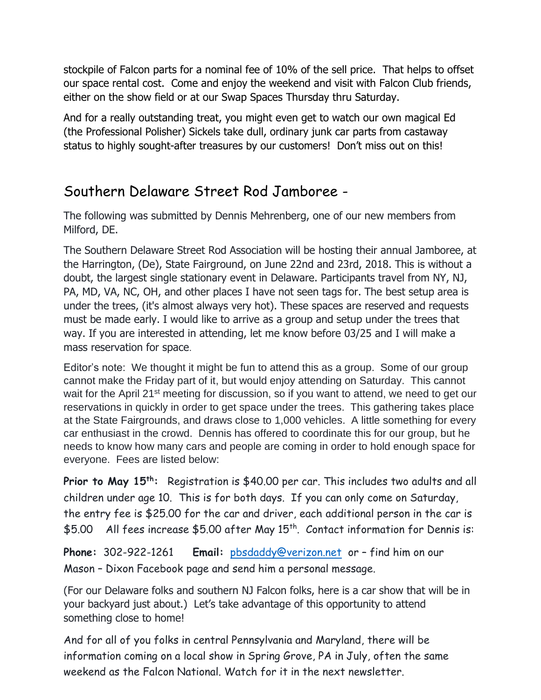stockpile of Falcon parts for a nominal fee of 10% of the sell price. That helps to offset our space rental cost. Come and enjoy the weekend and visit with Falcon Club friends, either on the show field or at our Swap Spaces Thursday thru Saturday.

And for a really outstanding treat, you might even get to watch our own magical Ed (the Professional Polisher) Sickels take dull, ordinary junk car parts from castaway status to highly sought-after treasures by our customers! Don't miss out on this!

#### Southern Delaware Street Rod Jamboree -

The following was submitted by Dennis Mehrenberg, one of our new members from Milford, DE.

The Southern Delaware Street Rod Association will be hosting their annual Jamboree, at the Harrington, (De), State Fairground, on June 22nd and 23rd, 2018. This is without a doubt, the largest single stationary event in Delaware. Participants travel from NY, NJ, PA, MD, VA, NC, OH, and other places I have not seen tags for. The best setup area is under the trees, (it's almost always very hot). These spaces are reserved and requests must be made early. I would like to arrive as a group and setup under the trees that way. If you are interested in attending, let me know before 03/25 and I will make a mass reservation for space.

Editor's note: We thought it might be fun to attend this as a group. Some of our group cannot make the Friday part of it, but would enjoy attending on Saturday. This cannot wait for the April 21<sup>st</sup> meeting for discussion, so if you want to attend, we need to get our reservations in quickly in order to get space under the trees. This gathering takes place at the State Fairgrounds, and draws close to 1,000 vehicles. A little something for every car enthusiast in the crowd. Dennis has offered to coordinate this for our group, but he needs to know how many cars and people are coming in order to hold enough space for everyone. Fees are listed below:

**Prior to May 15th:** Registration is \$40.00 per car. This includes two adults and all children under age 10. This is for both days. If you can only come on Saturday, the entry fee is \$25.00 for the car and driver, each additional person in the car is \$5.00 All fees increase \$5.00 after May 15<sup>th</sup>. Contact information for Dennis is:

**Phone:** 302-922-1261 **Email:** [pbsdaddy@verizon.net](mailto:pbsdaddy@verizon.net) or – find him on our Mason – Dixon Facebook page and send him a personal message.

(For our Delaware folks and southern NJ Falcon folks, here is a car show that will be in your backyard just about.) Let's take advantage of this opportunity to attend something close to home!

And for all of you folks in central Pennsylvania and Maryland, there will be information coming on a local show in Spring Grove, PA in July, often the same weekend as the Falcon National. Watch for it in the next newsletter.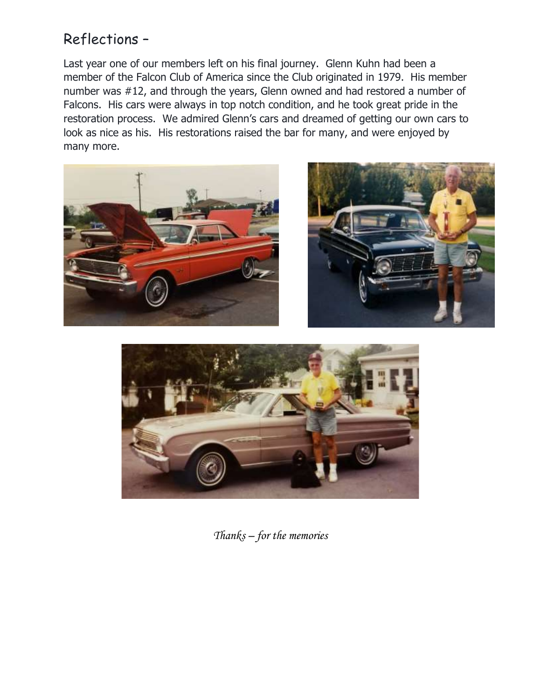## Reflections –

Last year one of our members left on his final journey. Glenn Kuhn had been a member of the Falcon Club of America since the Club originated in 1979. His member number was #12, and through the years, Glenn owned and had restored a number of Falcons. His cars were always in top notch condition, and he took great pride in the restoration process. We admired Glenn's cars and dreamed of getting our own cars to look as nice as his. His restorations raised the bar for many, and were enjoyed by many more.







*Thanks – for the memories*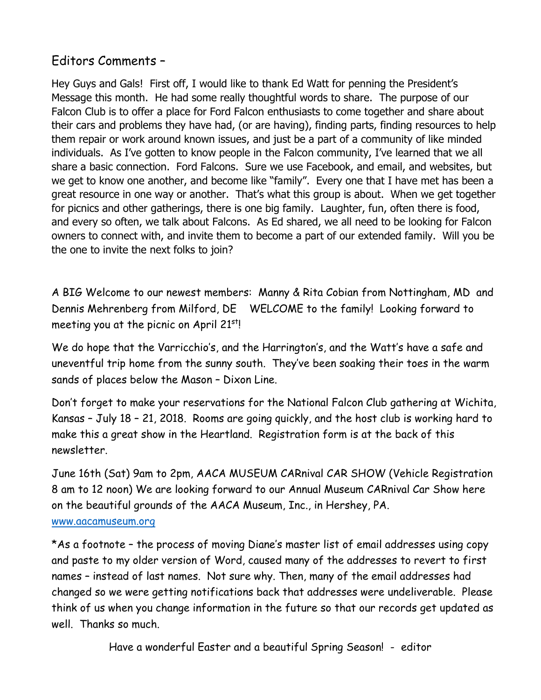#### Editors Comments –

Hey Guys and Gals! First off, I would like to thank Ed Watt for penning the President's Message this month. He had some really thoughtful words to share. The purpose of our Falcon Club is to offer a place for Ford Falcon enthusiasts to come together and share about their cars and problems they have had, (or are having), finding parts, finding resources to help them repair or work around known issues, and just be a part of a community of like minded individuals. As I've gotten to know people in the Falcon community, I've learned that we all share a basic connection. Ford Falcons. Sure we use Facebook, and email, and websites, but we get to know one another, and become like "family". Every one that I have met has been a great resource in one way or another. That's what this group is about. When we get together for picnics and other gatherings, there is one big family. Laughter, fun, often there is food, and every so often, we talk about Falcons. As Ed shared, we all need to be looking for Falcon owners to connect with, and invite them to become a part of our extended family. Will you be the one to invite the next folks to join?

A BIG Welcome to our newest members: Manny & Rita Cobian from Nottingham, MD and Dennis Mehrenberg from Milford, DE WELCOME to the family! Looking forward to meeting you at the picnic on April 21<sup>st</sup>!

We do hope that the Varricchio's, and the Harrington's, and the Watt's have a safe and uneventful trip home from the sunny south. They've been soaking their toes in the warm sands of places below the Mason – Dixon Line.

Don't forget to make your reservations for the National Falcon Club gathering at Wichita, Kansas – July 18 – 21, 2018. Rooms are going quickly, and the host club is working hard to make this a great show in the Heartland. Registration form is at the back of this newsletter.

June 16th (Sat) 9am to 2pm, AACA MUSEUM CARnival CAR SHOW (Vehicle Registration 8 am to 12 noon) We are looking forward to our Annual Museum CARnival Car Show here on the beautiful grounds of the AACA Museum, Inc., in Hershey, PA.

#### [www.aacamuseum.org](http://www.aacamuseum.org/)

\*As a footnote – the process of moving Diane's master list of email addresses using copy and paste to my older version of Word, caused many of the addresses to revert to first names – instead of last names. Not sure why. Then, many of the email addresses had changed so we were getting notifications back that addresses were undeliverable. Please think of us when you change information in the future so that our records get updated as well. Thanks so much.

Have a wonderful Easter and a beautiful Spring Season! - editor